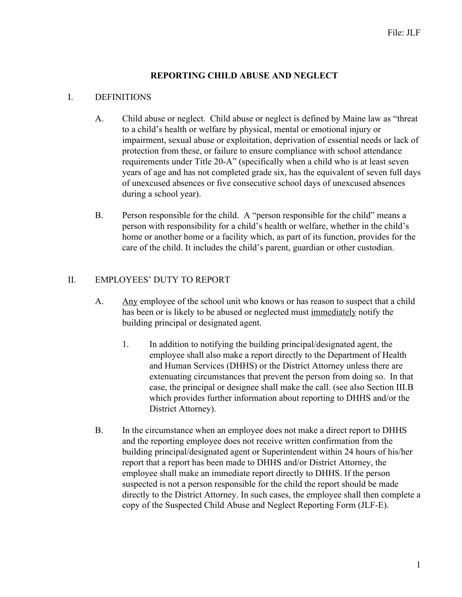## **REPORTING CHILD ABUSE AND NEGLECT**

#### I. DEFINITIONS

- A. Child abuse or neglect. Child abuse or neglect is defined by Maine law as "threat to a child's health or welfare by physical, mental or emotional injury or impairment, sexual abuse or exploitation, deprivation of essential needs or lack of protection from these, or failure to ensure compliance with school attendance requirements under Title 20-A" (specifically when a child who is at least seven years of age and has not completed grade six, has the equivalent of seven full days of unexcused absences or five consecutive school days of unexcused absences during a school year).
- B. Person responsible for the child. A "person responsible for the child" means a person with responsibility for a child's health or welfare, whether in the child's home or another home or a facility which, as part of its function, provides for the care of the child. It includes the child's parent, guardian or other custodian.

#### II. EMPLOYEES' DUTY TO REPORT

- A. Any employee of the school unit who knows or has reason to suspect that a child has been or is likely to be abused or neglected must immediately notify the building principal or designated agent.
	- 1. In addition to notifying the building principal/designated agent, the employee shall also make a report directly to the Department of Health and Human Services (DHHS) or the District Attorney unless there are extenuating circumstances that prevent the person from doing so. In that case, the principal or designee shall make the call. (see also Section III.B which provides further information about reporting to DHHS and/or the District Attorney).
- B. In the circumstance when an employee does not make a direct report to DHHS and the reporting employee does not receive written confirmation from the building principal/designated agent or Superintendent within 24 hours of his/her report that a report has been made to DHHS and/or District Attorney, the employee shall make an immediate report directly to DHHS. If the person suspected is not a person responsible for the child the report should be made directly to the District Attorney. In such cases, the employee shall then complete a copy of the Suspected Child Abuse and Neglect Reporting Form (JLF-E).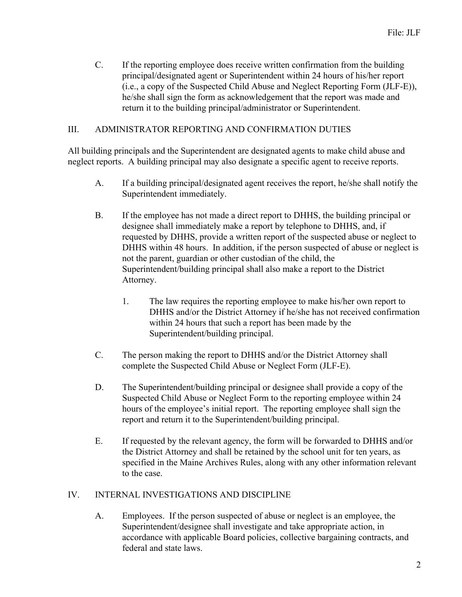C. If the reporting employee does receive written confirmation from the building principal/designated agent or Superintendent within 24 hours of his/her report (i.e., a copy of the Suspected Child Abuse and Neglect Reporting Form (JLF-E)), he/she shall sign the form as acknowledgement that the report was made and return it to the building principal/administrator or Superintendent.

#### III. ADMINISTRATOR REPORTING AND CONFIRMATION DUTIES

All building principals and the Superintendent are designated agents to make child abuse and neglect reports. A building principal may also designate a specific agent to receive reports.

- A. If a building principal/designated agent receives the report, he/she shall notify the Superintendent immediately.
- B. If the employee has not made a direct report to DHHS, the building principal or designee shall immediately make a report by telephone to DHHS, and, if requested by DHHS, provide a written report of the suspected abuse or neglect to DHHS within 48 hours. In addition, if the person suspected of abuse or neglect is not the parent, guardian or other custodian of the child, the Superintendent/building principal shall also make a report to the District Attorney.
	- 1. The law requires the reporting employee to make his/her own report to DHHS and/or the District Attorney if he/she has not received confirmation within 24 hours that such a report has been made by the Superintendent/building principal.
- C. The person making the report to DHHS and/or the District Attorney shall complete the Suspected Child Abuse or Neglect Form (JLF-E).
- D. The Superintendent/building principal or designee shall provide a copy of the Suspected Child Abuse or Neglect Form to the reporting employee within 24 hours of the employee's initial report. The reporting employee shall sign the report and return it to the Superintendent/building principal.
- E. If requested by the relevant agency, the form will be forwarded to DHHS and/or the District Attorney and shall be retained by the school unit for ten years, as specified in the Maine Archives Rules, along with any other information relevant to the case.

#### IV. INTERNAL INVESTIGATIONS AND DISCIPLINE

A. Employees. If the person suspected of abuse or neglect is an employee, the Superintendent/designee shall investigate and take appropriate action, in accordance with applicable Board policies, collective bargaining contracts, and federal and state laws.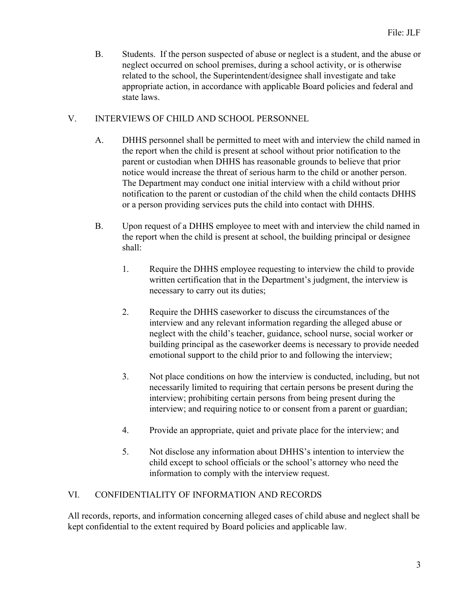B. Students. If the person suspected of abuse or neglect is a student, and the abuse or neglect occurred on school premises, during a school activity, or is otherwise related to the school, the Superintendent/designee shall investigate and take appropriate action, in accordance with applicable Board policies and federal and state laws.

## V. INTERVIEWS OF CHILD AND SCHOOL PERSONNEL

- A. DHHS personnel shall be permitted to meet with and interview the child named in the report when the child is present at school without prior notification to the parent or custodian when DHHS has reasonable grounds to believe that prior notice would increase the threat of serious harm to the child or another person. The Department may conduct one initial interview with a child without prior notification to the parent or custodian of the child when the child contacts DHHS or a person providing services puts the child into contact with DHHS.
- B. Upon request of a DHHS employee to meet with and interview the child named in the report when the child is present at school, the building principal or designee shall:
	- 1. Require the DHHS employee requesting to interview the child to provide written certification that in the Department's judgment, the interview is necessary to carry out its duties;
	- 2. Require the DHHS caseworker to discuss the circumstances of the interview and any relevant information regarding the alleged abuse or neglect with the child's teacher, guidance, school nurse, social worker or building principal as the caseworker deems is necessary to provide needed emotional support to the child prior to and following the interview;
	- 3. Not place conditions on how the interview is conducted, including, but not necessarily limited to requiring that certain persons be present during the interview; prohibiting certain persons from being present during the interview; and requiring notice to or consent from a parent or guardian;
	- 4. Provide an appropriate, quiet and private place for the interview; and
	- 5. Not disclose any information about DHHS's intention to interview the child except to school officials or the school's attorney who need the information to comply with the interview request.

# VI. CONFIDENTIALITY OF INFORMATION AND RECORDS

All records, reports, and information concerning alleged cases of child abuse and neglect shall be kept confidential to the extent required by Board policies and applicable law.